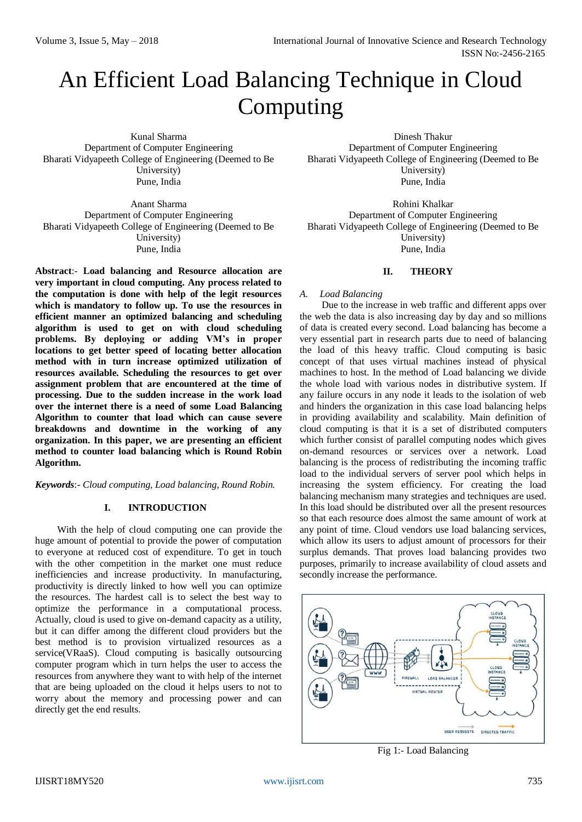# An Efficient Load Balancing Technique in Cloud Computing

Kunal Sharma Department of Computer Engineering Bharati Vidyapeeth College of Engineering (Deemed to Be University) Pune, India

Anant Sharma Department of Computer Engineering Bharati Vidyapeeth College of Engineering (Deemed to Be University) Pune, India

**Abstract**:- **Load balancing and Resource allocation are very important in cloud computing. Any process related to the computation is done with help of the legit resources which is mandatory to follow up. To use the resources in efficient manner an optimized balancing and scheduling algorithm is used to get on with cloud scheduling problems. By deploying or adding VM's in proper locations to get better speed of locating better allocation method with in turn increase optimized utilization of resources available. Scheduling the resources to get over assignment problem that are encountered at the time of processing. Due to the sudden increase in the work load over the internet there is a need of some Load Balancing Algorithm to counter that load which can cause severe breakdowns and downtime in the working of any organization. In this paper, we are presenting an efficient method to counter load balancing which is Round Robin Algorithm.**

*Keywords*:- *Cloud computing, Load balancing, Round Robin.*

#### **I. INTRODUCTION**

With the help of cloud computing one can provide the huge amount of potential to provide the power of computation to everyone at reduced cost of expenditure. To get in touch with the other competition in the market one must reduce inefficiencies and increase productivity. In manufacturing, productivity is directly linked to how well you can optimize the resources. The hardest call is to select the best way to optimize the performance in a computational process. Actually, cloud is used to give on-demand capacity as a utility, but it can differ among the different cloud providers but the best method is to provision virtualized resources as a service(VRaaS). Cloud computing is basically outsourcing computer program which in turn helps the user to access the resources from anywhere they want to with help of the internet that are being uploaded on the cloud it helps users to not to worry about the memory and processing power and can directly get the end results.

Dinesh Thakur Department of Computer Engineering Bharati Vidyapeeth College of Engineering (Deemed to Be University) Pune, India

Rohini Khalkar Department of Computer Engineering Bharati Vidyapeeth College of Engineering (Deemed to Be University) Pune, India

#### **II. THEORY**

#### *A. Load Balancing*

Due to the increase in web traffic and different apps over the web the data is also increasing day by day and so millions of data is created every second. Load balancing has become a very essential part in research parts due to need of balancing the load of this heavy traffic. Cloud computing is basic concept of that uses virtual machines instead of physical machines to host. In the method of Load balancing we divide the whole load with various nodes in distributive system. If any failure occurs in any node it leads to the isolation of web and hinders the organization in this case load balancing helps in providing availability and scalability. Main definition of cloud computing is that it is a set of distributed computers which further consist of parallel computing nodes which gives on-demand resources or services over a network. Load balancing is the process of redistributing the incoming traffic load to the individual servers of server pool which helps in increasing the system efficiency. For creating the load balancing mechanism many strategies and techniques are used. In this load should be distributed over all the present resources so that each resource does almost the same amount of work at any point of time. Cloud vendors use load balancing services, which allow its users to adjust amount of processors for their surplus demands. That proves load balancing provides two purposes, primarily to increase availability of cloud assets and secondly increase the performance.



Fig 1:- Load Balancing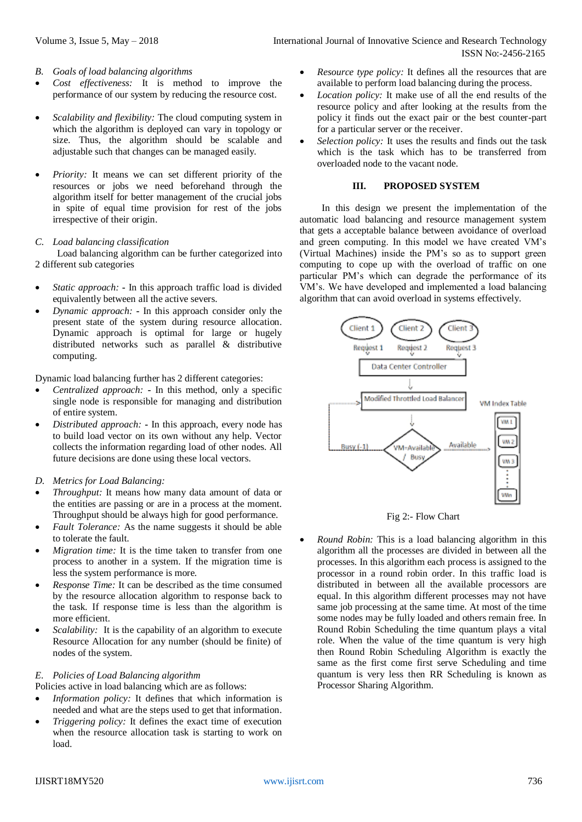- *B. Goals of load balancing algorithms*
- *Cost effectiveness:* It is method to improve the performance of our system by reducing the resource cost.
- *Scalability and flexibility:* The cloud computing system in which the algorithm is deployed can vary in topology or size. Thus, the algorithm should be scalable and adjustable such that changes can be managed easily.
- *Priority:* It means we can set different priority of the resources or jobs we need beforehand through the algorithm itself for better management of the crucial jobs in spite of equal time provision for rest of the jobs irrespective of their origin.

## *C. Load balancing classification*

Load balancing algorithm can be further categorized into 2 different sub categories

- *Static approach:* **-** In this approach traffic load is divided equivalently between all the active severs.
- *Dynamic approach:* **-** In this approach consider only the present state of the system during resource allocation. Dynamic approach is optimal for large or hugely distributed networks such as parallel & distributive computing.

Dynamic load balancing further has 2 different categories:

- *Centralized approach:* **-** In this method, only a specific single node is responsible for managing and distribution of entire system.
- *Distributed approach:* **-** In this approach, every node has to build load vector on its own without any help. Vector collects the information regarding load of other nodes. All future decisions are done using these local vectors.

## *D. Metrics for Load Balancing:*

- *Throughput:* It means how many data amount of data or the entities are passing or are in a process at the moment. Throughput should be always high for good performance.
- *Fault Tolerance:* As the name suggests it should be able to tolerate the fault.
- *Migration time:* It is the time taken to transfer from one process to another in a system. If the migration time is less the system performance is more.
- *Response Time:* It can be described as the time consumed by the resource allocation algorithm to response back to the task. If response time is less than the algorithm is more efficient.
- *Scalability:* It is the capability of an algorithm to execute Resource Allocation for any number (should be finite) of nodes of the system.

## *E. Policies of Load Balancing algorithm*

Policies active in load balancing which are as follows:

- *Information policy:* It defines that which information is needed and what are the steps used to get that information.
- *Triggering policy:* It defines the exact time of execution when the resource allocation task is starting to work on load.
- *Resource type policy:* It defines all the resources that are available to perform load balancing during the process.
- *Location policy:* It make use of all the end results of the resource policy and after looking at the results from the policy it finds out the exact pair or the best counter-part for a particular server or the receiver.
- *Selection policy:* It uses the results and finds out the task which is the task which has to be transferred from overloaded node to the vacant node.

## **III. PROPOSED SYSTEM**

In this design we present the implementation of the automatic load balancing and resource management system that gets a acceptable balance between avoidance of overload and green computing. In this model we have created VM's (Virtual Machines) inside the PM's so as to support green computing to cope up with the overload of traffic on one particular PM's which can degrade the performance of its VM's. We have developed and implemented a load balancing algorithm that can avoid overload in systems effectively.



Fig 2:- Flow Chart

 *Round Robin:* This is a load balancing algorithm in this algorithm all the processes are divided in between all the processes. In this algorithm each process is assigned to the processor in a round robin order. In this traffic load is distributed in between all the available processors are equal. In this algorithm different processes may not have same job processing at the same time. At most of the time some nodes may be fully loaded and others remain free. In Round Robin Scheduling the time quantum plays a vital role. When the value of the time quantum is very high then Round Robin Scheduling Algorithm is exactly the same as the first come first serve Scheduling and time quantum is very less then RR Scheduling is known as Processor Sharing Algorithm.